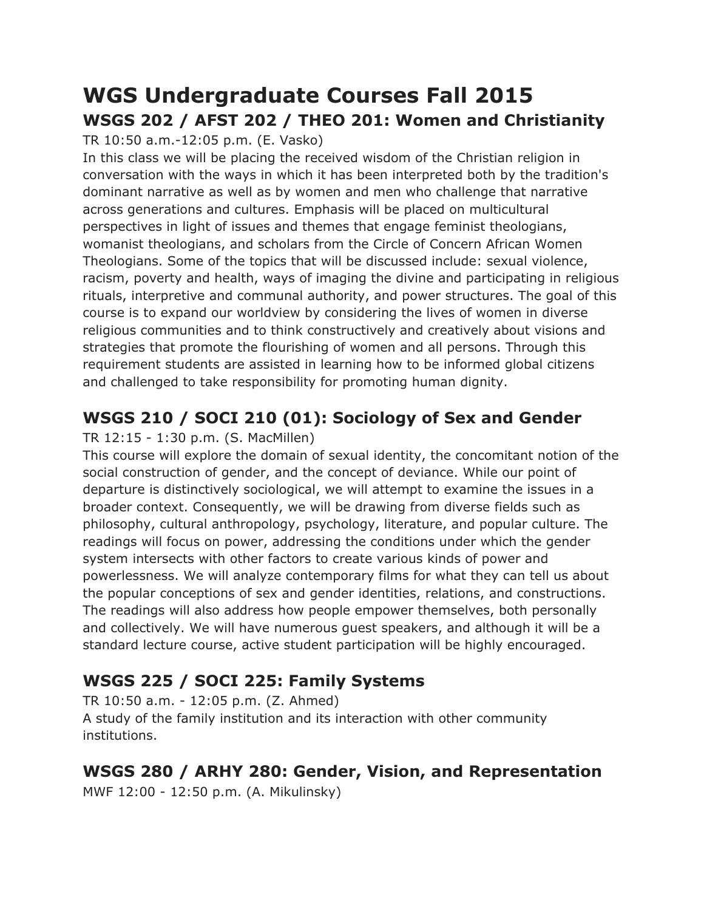# **WGS Undergraduate Courses Fall 2015 WSGS 202 / AFST 202 / THEO 201: Women and Christianity**

TR 10:50 a.m.-12:05 p.m. (E. Vasko)

In this class we will be placing the received wisdom of the Christian religion in conversation with the ways in which it has been interpreted both by the tradition's dominant narrative as well as by women and men who challenge that narrative across generations and cultures. Emphasis will be placed on multicultural perspectives in light of issues and themes that engage feminist theologians, womanist theologians, and scholars from the Circle of Concern African Women Theologians. Some of the topics that will be discussed include: sexual violence, racism, poverty and health, ways of imaging the divine and participating in religious rituals, interpretive and communal authority, and power structures. The goal of this course is to expand our worldview by considering the lives of women in diverse religious communities and to think constructively and creatively about visions and strategies that promote the flourishing of women and all persons. Through this requirement students are assisted in learning how to be informed global citizens and challenged to take responsibility for promoting human dignity.

## **WSGS 210 / SOCI 210 (01): Sociology of Sex and Gender**

### TR 12:15 - 1:30 p.m. (S. MacMillen)

This course will explore the domain of sexual identity, the concomitant notion of the social construction of gender, and the concept of deviance. While our point of departure is distinctively sociological, we will attempt to examine the issues in a broader context. Consequently, we will be drawing from diverse fields such as philosophy, cultural anthropology, psychology, literature, and popular culture. The readings will focus on power, addressing the conditions under which the gender system intersects with other factors to create various kinds of power and powerlessness. We will analyze contemporary films for what they can tell us about the popular conceptions of sex and gender identities, relations, and constructions. The readings will also address how people empower themselves, both personally and collectively. We will have numerous guest speakers, and although it will be a standard lecture course, active student participation will be highly encouraged.

## **WSGS 225 / SOCI 225: Family Systems**

TR 10:50 a.m. - 12:05 p.m. (Z. Ahmed) A study of the family institution and its interaction with other community institutions.

## **WSGS 280 / ARHY 280: Gender, Vision, and Representation**

MWF 12:00 - 12:50 p.m. (A. Mikulinsky)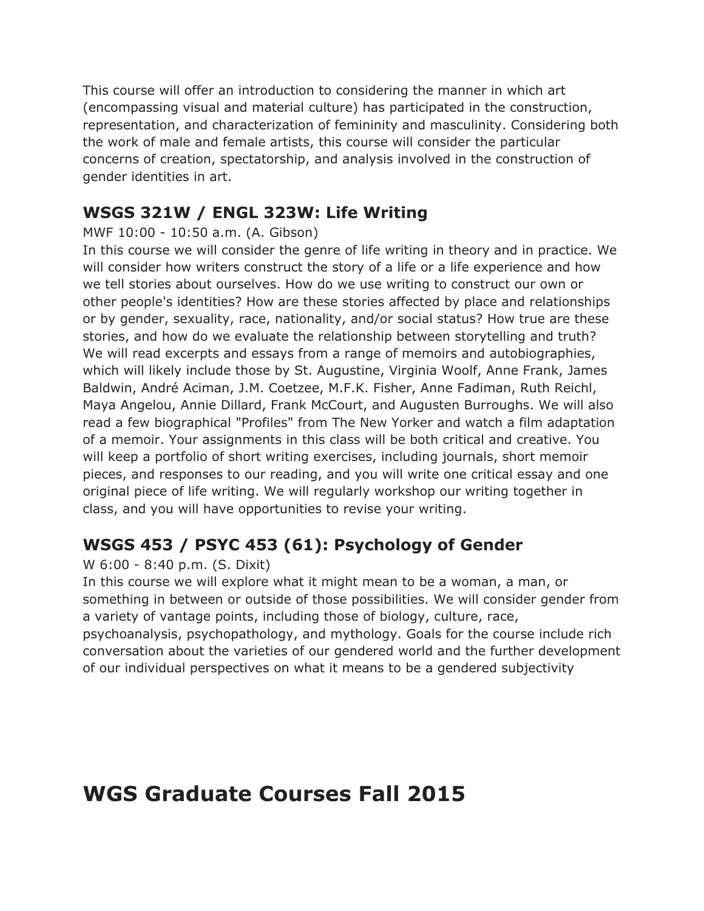This course will offer an introduction to considering the manner in which art (encompassing visual and material culture) has participated in the construction, representation, and characterization of femininity and masculinity. Considering both the work of male and female artists, this course will consider the particular concerns of creation, spectatorship, and analysis involved in the construction of gender identities in art.

### **WSGS 321W / ENGL 323W: Life Writing**

### MWF 10:00 - 10:50 a.m. (A. Gibson)

In this course we will consider the genre of life writing in theory and in practice. We will consider how writers construct the story of a life or a life experience and how we tell stories about ourselves. How do we use writing to construct our own or other people's identities? How are these stories affected by place and relationships or by gender, sexuality, race, nationality, and/or social status? How true are these stories, and how do we evaluate the relationship between storytelling and truth? We will read excerpts and essays from a range of memoirs and autobiographies, which will likely include those by St. Augustine, Virginia Woolf, Anne Frank, James Baldwin, André Aciman, J.M. Coetzee, M.F.K. Fisher, Anne Fadiman, Ruth Reichl, Maya Angelou, Annie Dillard, Frank McCourt, and Augusten Burroughs. We will also read a few biographical "Profiles" from The New Yorker and watch a film adaptation of a memoir. Your assignments in this class will be both critical and creative. You will keep a portfolio of short writing exercises, including journals, short memoir pieces, and responses to our reading, and you will write one critical essay and one original piece of life writing. We will regularly workshop our writing together in class, and you will have opportunities to revise your writing.

## **WSGS 453 / PSYC 453 (61): Psychology of Gender**

### W 6:00 - 8:40 p.m. (S. Dixit)

In this course we will explore what it might mean to be a woman, a man, or something in between or outside of those possibilities. We will consider gender from a variety of vantage points, including those of biology, culture, race, psychoanalysis, psychopathology, and mythology. Goals for the course include rich conversation about the varieties of our gendered world and the further development of our individual perspectives on what it means to be a gendered subjectivity

# **WGS Graduate Courses Fall 2015**